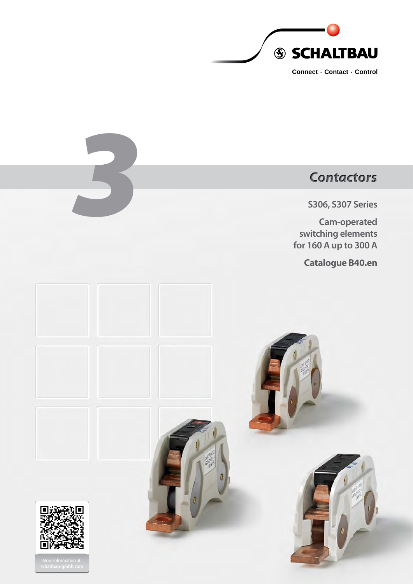

# *3* **S306, S307 Series Cam-operated switching elements for 160 A up to 300 A Catalogue B40.en** *Contactors*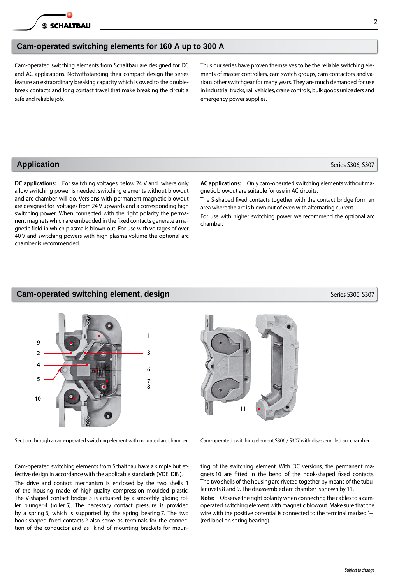# **Cam-operated switching elements for 160 A up to 300 A**

Cam-operated switching elements from Schaltbau are designed for DC and AC applications. Notwithstanding their compact design the series feature an extraordinary breaking capacity which is owed to the doublebreak contacts and long contact travel that make breaking the circuit a safe and reliable job.

Thus our series have proven themselves to be the reliable switching elements of master controllers, cam switch groups, cam contactors and various other switchgear for many years. They are much demanded for use in industrial trucks, rail vehicles, crane controls, bulk goods unloaders and emergency power supplies.

# **Application** Series S306, S307

**DC applications:** For switching voltages below 24 V and where only a low switching power is needed, switching elements without blowout and arc chamber will do. Versions with permanent-magnetic blowout are designed for voltages from 24 V upwards and a corresponding high switching power. When connected with the right polarity the permanent magnets which are embedded in the fixed contacts generate a magnetic field in which plasma is blown out. For use with voltages of over 40 V and switching powers with high plasma volume the optional arc chamber is recommended.

**AC applications:** Only cam-operated switching elements without magnetic blowout are suitable for use in AC circuits.

The S-shaped fixed contacts together with the contact bridge form an area where the arc is blown out of even with alternating current.

For use with higher switching power we recommend the optional arc chamber.

# **Cam-operated switching element, design 
Series S306, S307** Series S306, S307



Cam-operated switching elements from Schaltbau have a simple but effective design in accordance with the applicable standards (VDE, DIN).

The drive and contact mechanism is enclosed by the two shells 1 of the housing made of high-quality compression moulded plastic. The V-shaped contact bridge 3 is actuated by a smoothly gliding roller plunger 4 (roller 5). The necessary contact pressure is provided by a spring 6, which is supported by the spring bearing 7. The two hook-shaped fixed contacts 2 also serve as terminals for the connection of the conductor and as kind of mounting brackets for moun-

**11**

Section through a cam-operated switching element with mounted arc chamber Cam-operated switching element S306 / S307 with disassembled arc chamber

ting of the switching element. With DC versions, the permanent magnets 10 are fitted in the bend of the hook-shaped fixed contacts. The two shells of the housing are riveted together by means of the tubular rivets 8 and 9. The disassembled arc chamber is shown by 11.

**Note:** Observe the right polarity when connecting the cables to a camoperated switching element with magnetic blowout. Make sure that the wire with the positive potential is connected to the terminal marked "+" (red label on spring bearing).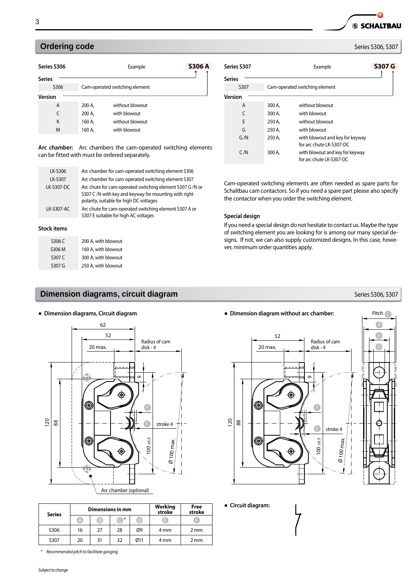# **Ordering code** Series S306, S307

| Series S306    |        | <b>S306 A</b><br>Example       |  |  |
|----------------|--------|--------------------------------|--|--|
| <b>Series</b>  |        |                                |  |  |
| S306           |        | Cam-operated switching element |  |  |
| <b>Version</b> |        |                                |  |  |
| A              | 200 A, | without blowout                |  |  |
| C              | 200 A. | with blowout                   |  |  |
| K              | 160 A, | without blowout                |  |  |
| M              | 160 A, | with blowout                   |  |  |

**Arc chamber:** Arc chambers the cam-operated switching elements can be fitted with must be ordered separately.

| LK-S306    | Arc chamber for cam-operated switching element S306                                                                                                           |
|------------|---------------------------------------------------------------------------------------------------------------------------------------------------------------|
| LK-S307    | Arc chamber for cam-operated switching element S307                                                                                                           |
| LK-S307-DC | Arc chute for cam-operated switching element S307 G /N or<br>S307 C /N with key and keyway for mounting with right<br>polarity, suitable for high DC voltages |
| LK-S307-AC | Arc chute for cam-operated switching element S307 A or<br>S307 E suitable for high AC voltages                                                                |
| .          |                                                                                                                                                               |

#### **Stock items**

| S306 C | 200 A, with blowout |
|--------|---------------------|
| S306 M | 160 A, with blowout |
| S307 C | 300 A, with blowout |
| S307 G | 250 A, with blowout |

# **Dimension diagrams, circuit diagram** *Series* **S306, S307 Series S306, S307**



| <b>Series</b> |    |    | Dimensions in mm |     | Working<br>stroke | Free<br>stroke |
|---------------|----|----|------------------|-----|-------------------|----------------|
|               | A  | B  | <b>A</b> *       |     | E                 |                |
| S306          | 16 | 27 | 28               | Ø9  | 4 mm              | 2 mm           |
| 5307          | 20 | 31 | 32               | Ø11 | 4 mm              | 2 mm           |

| Series S307   |        | S307 G<br>Example                                           |  |  |
|---------------|--------|-------------------------------------------------------------|--|--|
| <b>Series</b> |        |                                                             |  |  |
| S307          |        | Cam-operated switching element                              |  |  |
| Version       |        |                                                             |  |  |
| A             | 300 A. | without blowout                                             |  |  |
| C             | 300 A. | with blowout                                                |  |  |
| F             | 250 A, | without blowout                                             |  |  |
| G             | 250 A. | with blowout                                                |  |  |
| G/N           | 250 A. | with blowout and key for keyway<br>for arc chute LK-S307-DC |  |  |
| C/N           | 300 A, | with blowout and key for keyway<br>for arc chute LK-S307-DC |  |  |

Cam-operated switching elements are often needed as spare parts for Schaltbau cam contactors. So if you need a spare part please also specify the contactor when you order the switching element.

#### **Special design**

If you need a special design do not hesitate to contact us. Maybe the type of switching element you are looking for is among our many special designs. If not, we can also supply customized designs. In this case, however, minimum order quantities apply.

Pitch  $\subset$ 

**SS SCHALTBAU** 

# ● **Dimension diagrams, Circuit diagram** ● **Dimension diagram without arc chamber:**



● **Circuit diagram:**

*\* Recommended pitch to facilitate ganging*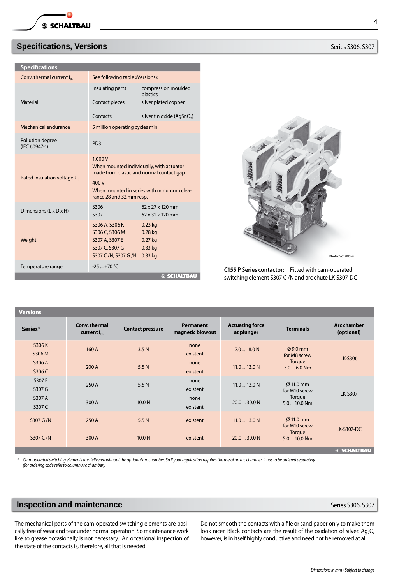# **Specifications, Versions Series S306, S307**

| <b>Specifications</b>                 |                                                                                              |                                                                                                                                   |
|---------------------------------------|----------------------------------------------------------------------------------------------|-----------------------------------------------------------------------------------------------------------------------------------|
| Conv. thermal current I <sub>th</sub> | See following table »Versions«                                                               |                                                                                                                                   |
|                                       | Insulating parts                                                                             | compression moulded<br>plastics                                                                                                   |
| <b>Material</b>                       | Contact pieces                                                                               | silver plated copper                                                                                                              |
|                                       | Contacts                                                                                     | silver tin oxide (AgSnO <sub>2</sub> )                                                                                            |
| Mechanical endurance                  | 5 million operating cycles min.                                                              |                                                                                                                                   |
| Pollution degree<br>(IEC 60947-1)     | PD3                                                                                          |                                                                                                                                   |
| Rated insulation voltage U.           | 1,000V<br>400 V<br>rance 28 and 32 mm resp.                                                  | When mounted individually, with actuator<br>made from plastic and normal contact gap<br>When mounted in series with minumum clea- |
| Dimensions (L x D x H)                | S306<br>S307                                                                                 | 62 x 27 x 120 mm<br>62 x 31 x 120 mm                                                                                              |
| Weight                                | S306 A, S306 K<br>S306 C, S306 M<br>S307 A, S307 E<br>S307 C, S307 G<br>S307 C /N, S307 G /N | $0.23$ kg<br>$0.28$ kg<br>$0.27$ kg<br>$0.33$ kg<br>$0.33$ kg                                                                     |
| Temperature range                     | $-25 - +70$ °C                                                                               |                                                                                                                                   |
|                                       |                                                                                              | <b>SSCHALTBAU</b>                                                                                                                 |



**C155 P Series contactor:** Fitted with cam-operated switching element S307 C /N and arc chute LK-S307-DC

| <b>Versions</b> |                                          |                         |                                      |                                      |                                        |                                  |
|-----------------|------------------------------------------|-------------------------|--------------------------------------|--------------------------------------|----------------------------------------|----------------------------------|
| Series*         | Conv. thermal<br>current I <sub>th</sub> | <b>Contact pressure</b> | <b>Permanent</b><br>magnetic blowout | <b>Actuating force</b><br>at plunger | <b>Terminals</b>                       | <b>Arc chamber</b><br>(optional) |
| S306 K          | 160 A                                    | 3.5 <sub>N</sub>        | none                                 | $7.0$ $8.0 N$                        | $Q$ 9.0 mm                             |                                  |
| S306 M          |                                          |                         | existent                             |                                      | for M8 screw                           | LK-S306                          |
| S306 A          | 200 A                                    | 5.5N                    | none                                 | $11.0 - 13.0$ N                      | Torque                                 |                                  |
| S306 C          |                                          |                         | existent                             |                                      | $3.0 - 6.0$ Nm                         |                                  |
| S307 E          | 250 A                                    |                         | none                                 |                                      | $\varnothing$ 11.0 mm                  |                                  |
| S307 G          |                                          | 5.5 N                   | existent                             | $11.0$ 13.0 N                        | for M10 screw                          |                                  |
| S307 A          |                                          |                         | none                                 |                                      | Torque                                 | <b>LK-S307</b>                   |
| S307 C          | 300 A                                    | 10.0 <sub>N</sub>       | existent                             | $20.0 - 30.0$ N                      | 5.0  10.0 Nm                           |                                  |
| S307 G /N       | 250 A                                    | 5.5N                    | existent                             | $11.0 - 13.0$ N                      | $\varnothing$ 11.0 mm<br>for M10 screw | <b>LK-S307-DC</b>                |
| S307 C/N        | 300 A                                    | 10.0 <sub>N</sub>       | existent                             | $20.0 - 30.0$ N                      | Torque<br>5.0  10.0 Nm                 |                                  |
|                 |                                          |                         |                                      |                                      |                                        | <b>SSCHALTBAU</b>                |

*\* Cam-operated switching elements are delivered without the optional arc chamber. So if your application requires the use of an arc chamber, it has to be ordered separately. (for ordering code refer to column Arc chamber).*

# **Inspection and maintenance Series S306, S307**

The mechanical parts of the cam-operated switching elements are basically free of wear and tear under normal operation. So maintenance work like to grease occasionally is not necessary. An occasional inspection of the state of the contacts is, therefore, all that is needed.

Do not smooth the contacts with a file or sand paper only to make them look nicer. Black contacts are the result of the oxidation of silver. Ag<sub>2</sub>O, however, is in itself highly conductive and need not be removed at all.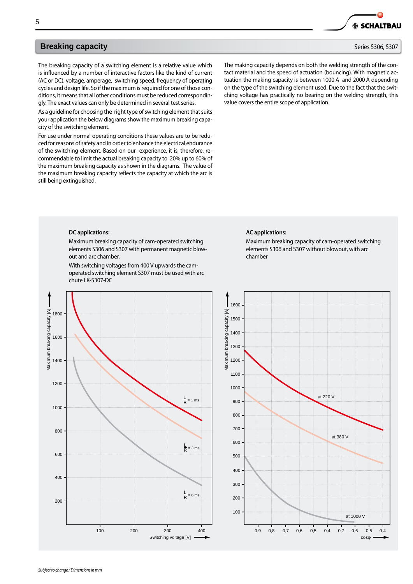The breaking capacity of a switching element is a relative value which is influenced by a number of interactive factors like the kind of current (AC or DC), voltage, amperage, switching speed, frequency of operating cycles and design life. So if the maximum is required for one of those conditions, it means that all other conditions must be reduced correspondingly. The exact values can only be determined in several test series.

As a guideline for choosing the right type of switching element that suits your application the below diagrams show the maximum breaking capacity of the switching element.

For use under normal operating conditions these values are to be reduced for reasons of safety and in order to enhance the electrical endurance of the switching element. Based on our experience, it is, therefore, recommendable to limit the actual breaking capacity to 20% up to 60% of the maximum breaking capacity as shown in the diagrams. The value of the maximum breaking capacity reflects the capacity at which the arc is still being extinguished.

The making capacity depends on both the welding strength of the contact material and the speed of actuation (bouncing). With magnetic actuation the making capacity is between 1000 A and 2000 A depending on the type of the switching element used. Due to the fact that the switching voltage has practically no bearing on the welding strength, this value covers the entire scope of application.

## **DC applications:**

Maximum breaking capacity of cam-operated switching elements S306 and S307 with permanent magnetic blowout and arc chamber.

With switching voltages from 400 V upwards the camoperated switching element S307 must be used with arc chute LK-S307-DC



## **AC applications:**

Maximum breaking capacity of cam-operated switching elements S306 and S307 without blowout, with arc chamber





**6 SCHALTBAU**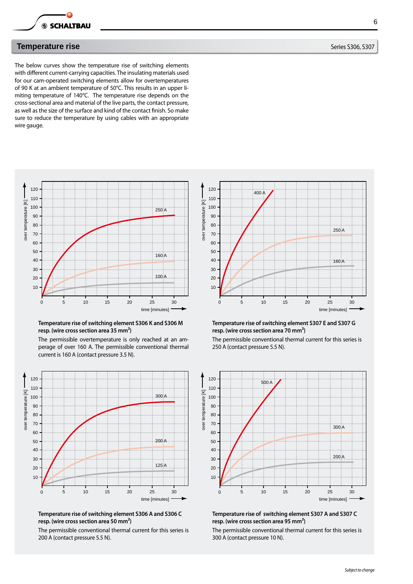

## **Temperature rise Sanction Community Community Community Community Community Community Community Community Community**

The below curves show the temperature rise of switching elements with different current-carrying capacities. The insulating materials used for our cam-operated switching elements allow for overtemperatures of 90 K at an ambient temperature of 50°C. This results in an upper limiting temperature of 140°C. The temperature rise depends on the cross-sectional area and material of the live parts, the contact pressure, as well as the size of the surface and kind of the contact finish. So make sure to reduce the temperature by using cables with an appropriate wire gauge.



## **Temperature rise of switching element S306 K and S306 M resp. (wire cross section area 35 mm²)**

The permissible overtemperature is only reached at an amperage of over 160 A. The permissible conventional thermal current is 160 A (contact pressure 3.5 N).



## **Temperature rise of switching element S306 A and S306 C resp. (wire cross section area 50 mm²)**

The permissible conventional thermal current for this series is 200 A (contact pressure 5.5 N).



#### **Temperature rise of switching element S307 E and S307 G resp. (wire cross section area 70 mm²)**

The permissible conventional thermal current for this series is 250 A (contact pressure 5.5 N).



**Temperature rise of switching element S307 A and S307 C resp. (wire cross section area 95 mm²)**

The permissible conventional thermal current for this series is 300 A (contact pressure 10 N).

6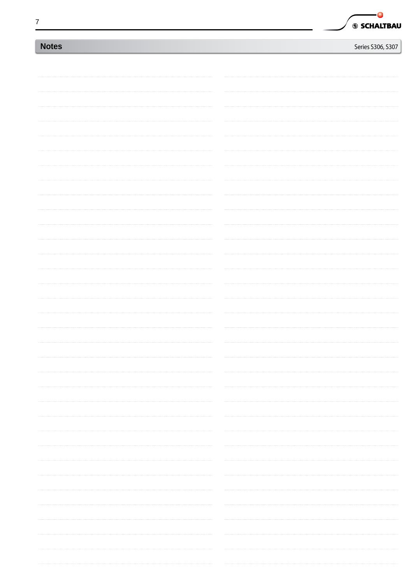| I<br>I<br>i |  |
|-------------|--|
|             |  |
|             |  |
| i           |  |
|             |  |
|             |  |

|  | 69 SCHALTBAU |
|--|--------------|

| Series S306, S307 |  |
|-------------------|--|

| <b>Notes</b> | Series S306, S307 |
|--------------|-------------------|
|              |                   |
|              |                   |
|              |                   |
|              |                   |
|              |                   |
|              |                   |
|              |                   |
|              |                   |
|              |                   |
|              |                   |
|              |                   |
|              |                   |
|              |                   |
|              |                   |
|              |                   |
|              |                   |
|              |                   |
|              |                   |
|              |                   |
|              |                   |
|              |                   |
|              |                   |
|              |                   |
|              |                   |
|              |                   |
|              |                   |
|              |                   |
|              |                   |
|              |                   |
|              |                   |
|              |                   |
|              |                   |
|              |                   |
|              |                   |
|              |                   |
|              |                   |
|              |                   |
|              |                   |
|              |                   |
|              |                   |
|              |                   |
|              |                   |
|              |                   |
|              |                   |
|              |                   |
|              |                   |
|              |                   |
|              |                   |
|              |                   |
|              |                   |
|              |                   |
|              |                   |
|              |                   |
|              |                   |
|              |                   |
|              |                   |
|              |                   |
|              |                   |
|              |                   |
|              |                   |
|              |                   |
|              |                   |
|              |                   |
|              |                   |
|              |                   |
|              |                   |
|              |                   |
|              |                   |
|              |                   |
|              |                   |